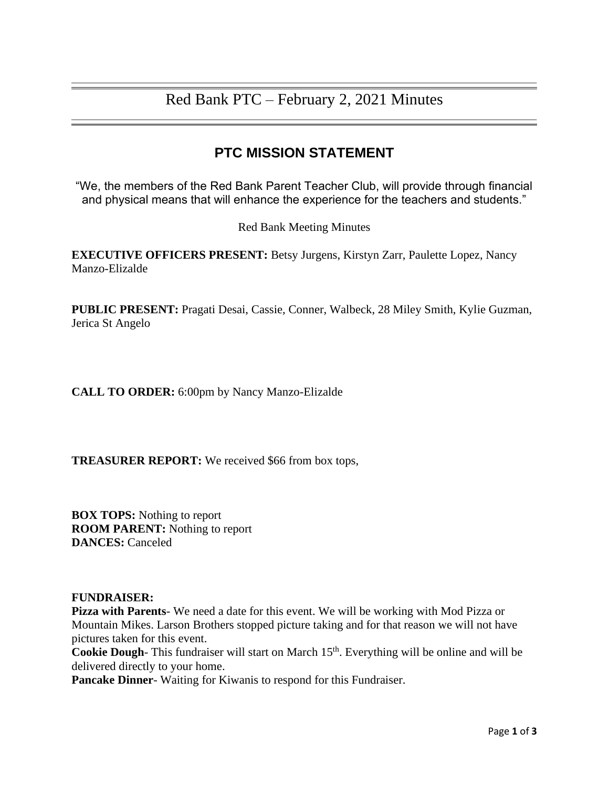## Red Bank PTC – February 2, 2021 Minutes

## **PTC MISSION STATEMENT**

"We, the members of the Red Bank Parent Teacher Club, will provide through financial and physical means that will enhance the experience for the teachers and students."

Red Bank Meeting Minutes

**EXECUTIVE OFFICERS PRESENT:** Betsy Jurgens, Kirstyn Zarr, Paulette Lopez, Nancy Manzo-Elizalde

**PUBLIC PRESENT:** Pragati Desai, Cassie, Conner, Walbeck, 28 Miley Smith, Kylie Guzman, Jerica St Angelo

**CALL TO ORDER:** 6:00pm by Nancy Manzo-Elizalde

**TREASURER REPORT:** We received \$66 from box tops,

**BOX TOPS:** Nothing to report **ROOM PARENT:** Nothing to report **DANCES:** Canceled

## **FUNDRAISER:**

**Pizza with Parents**- We need a date for this event. We will be working with Mod Pizza or Mountain Mikes. Larson Brothers stopped picture taking and for that reason we will not have pictures taken for this event.

Cookie Dough- This fundraiser will start on March 15<sup>th</sup>. Everything will be online and will be delivered directly to your home.

**Pancake Dinner**- Waiting for Kiwanis to respond for this Fundraiser.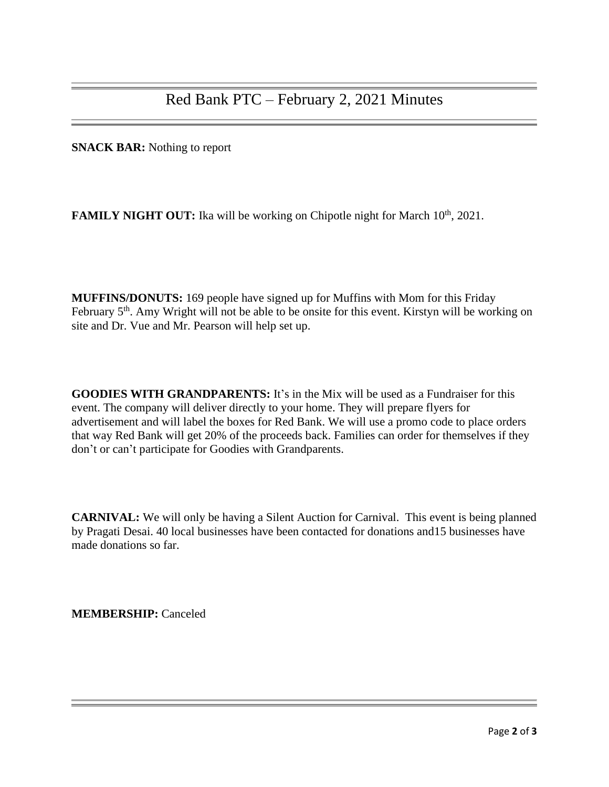**SNACK BAR:** Nothing to report

**FAMILY NIGHT OUT:** Ika will be working on Chipotle night for March 10<sup>th</sup>, 2021.

**MUFFINS/DONUTS:** 169 people have signed up for Muffins with Mom for this Friday February 5<sup>th</sup>. Amy Wright will not be able to be onsite for this event. Kirstyn will be working on site and Dr. Vue and Mr. Pearson will help set up.

**GOODIES WITH GRANDPARENTS:** It's in the Mix will be used as a Fundraiser for this event. The company will deliver directly to your home. They will prepare flyers for advertisement and will label the boxes for Red Bank. We will use a promo code to place orders that way Red Bank will get 20% of the proceeds back. Families can order for themselves if they don't or can't participate for Goodies with Grandparents.

**CARNIVAL:** We will only be having a Silent Auction for Carnival. This event is being planned by Pragati Desai. 40 local businesses have been contacted for donations and15 businesses have made donations so far.

**MEMBERSHIP:** Canceled